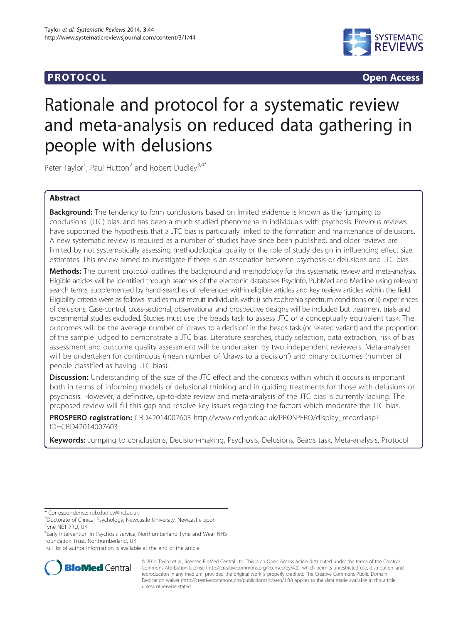## **PROTOCOL CONSUMING ACCESS**



# Rationale and protocol for a systematic review and meta-analysis on reduced data gathering in people with delusions

Peter Taylor<sup>1</sup>, Paul Hutton<sup>2</sup> and Robert Dudley<sup>3,4\*</sup>

## Abstract

**Background:** The tendency to form conclusions based on limited evidence is known as the 'jumping to conclusions' (JTC) bias, and has been a much studied phenomena in individuals with psychosis. Previous reviews have supported the hypothesis that a JTC bias is particularly linked to the formation and maintenance of delusions. A new systematic review is required as a number of studies have since been published, and older reviews are limited by not systematically assessing methodological quality or the role of study design in influencing effect size estimates. This review aimed to investigate if there is an association between psychosis or delusions and JTC bias.

Methods: The current protocol outlines the background and methodology for this systematic review and meta-analysis. Eligible articles will be identified through searches of the electronic databases PsycInfo, PubMed and Medline using relevant search terms, supplemented by hand-searches of references within eligible articles and key review articles within the field. Eligibility criteria were as follows: studies must recruit individuals with: i) schizophrenia spectrum conditions or ii) experiences of delusions. Case-control, cross-sectional, observational and prospective designs will be included but treatment trials and experimental studies excluded. Studies must use the beads task to assess JTC or a conceptually equivalent task. The outcomes will be the average number of 'draws to a decision' in the beads task (or related variant) and the proportion of the sample judged to demonstrate a JTC bias. Literature searches, study selection, data extraction, risk of bias assessment and outcome quality assessment will be undertaken by two independent reviewers. Meta-analyses will be undertaken for continuous (mean number of 'draws to a decision') and binary outcomes (number of people classified as having JTC bias).

**Discussion:** Understanding of the size of the JTC effect and the contexts within which it occurs is important both in terms of informing models of delusional thinking and in guiding treatments for those with delusions or psychosis. However, a definitive, up-to-date review and meta-analysis of the JTC bias is currently lacking. The proposed review will fill this gap and resolve key issues regarding the factors which moderate the JTC bias.

PROSPERO registration: CRD42014007603 [http://www.crd.york.ac.uk/PROSPERO/display\\_record.asp?](http://www.crd.york.ac.uk/PROSPERO/display_record.asp?ID=CRD42014007603) [ID=CRD42014007603](http://www.crd.york.ac.uk/PROSPERO/display_record.asp?ID=CRD42014007603)

**Keywords:** Jumping to conclusions, Decision-making, Psychosis, Delusions, Beads task, Meta-analysis, Protocol

Full list of author information is available at the end of the article



© 2014 Taylor et al.; licensee BioMed Central Ltd. This is an Open Access article distributed under the terms of the Creative Commons Attribution License [\(http://creativecommons.org/licenses/by/4.0\)](http://creativecommons.org/licenses/by/4.0), which permits unrestricted use, distribution, and reproduction in any medium, provided the original work is properly credited. The Creative Commons Public Domain Dedication waiver [\(http://creativecommons.org/publicdomain/zero/1.0/](http://creativecommons.org/publicdomain/zero/1.0/)) applies to the data made available in this article, unless otherwise stated.

<sup>\*</sup> Correspondence: [rob.dudley@ncl.ac.uk](mailto:rob.dudley@ncl.ac.uk) <sup>3</sup>

<sup>&</sup>lt;sup>3</sup>Doctorate of Clinical Psychology, Newcastle University, Newcastle upon Tyne NE1 7RU, UK

<sup>4</sup> Early Intervention in Psychosis service, Northumberland Tyne and Wear NHS Foundation Trust, Northumberland, UK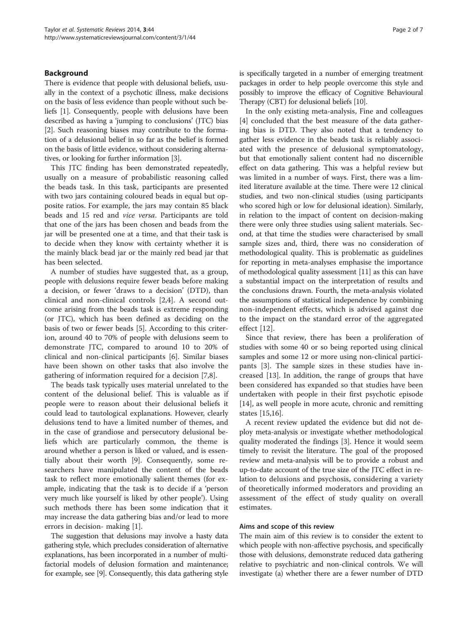## Background

There is evidence that people with delusional beliefs, usually in the context of a psychotic illness, make decisions on the basis of less evidence than people without such beliefs [[1\]](#page-6-0). Consequently, people with delusions have been described as having a 'jumping to conclusions' (JTC) bias [[2\]](#page-6-0). Such reasoning biases may contribute to the formation of a delusional belief in so far as the belief is formed on the basis of little evidence, without considering alternatives, or looking for further information [\[3\]](#page-6-0).

This JTC finding has been demonstrated repeatedly, usually on a measure of probabilistic reasoning called the beads task. In this task, participants are presented with two jars containing coloured beads in equal but opposite ratios. For example, the jars may contain 85 black beads and 15 red and vice versa. Participants are told that one of the jars has been chosen and beads from the jar will be presented one at a time, and that their task is to decide when they know with certainty whether it is the mainly black bead jar or the mainly red bead jar that has been selected.

A number of studies have suggested that, as a group, people with delusions require fewer beads before making a decision, or fewer 'draws to a decision' (DTD), than clinical and non-clinical controls [[2,4\]](#page-6-0). A second outcome arising from the beads task is extreme responding (or JTC), which has been defined as deciding on the basis of two or fewer beads [\[5](#page-6-0)]. According to this criterion, around 40 to 70% of people with delusions seem to demonstrate JTC, compared to around 10 to 20% of clinical and non-clinical participants [\[6](#page-6-0)]. Similar biases have been shown on other tasks that also involve the gathering of information required for a decision [\[7,8](#page-6-0)].

The beads task typically uses material unrelated to the content of the delusional belief. This is valuable as if people were to reason about their delusional beliefs it could lead to tautological explanations. However, clearly delusions tend to have a limited number of themes, and in the case of grandiose and persecutory delusional beliefs which are particularly common, the theme is around whether a person is liked or valued, and is essentially about their worth [[9\]](#page-6-0). Consequently, some researchers have manipulated the content of the beads task to reflect more emotionally salient themes (for example, indicating that the task is to decide if a 'person very much like yourself is liked by other people'). Using such methods there has been some indication that it may increase the data gathering bias and/or lead to more errors in decision- making [\[1](#page-6-0)].

The suggestion that delusions may involve a hasty data gathering style, which precludes consideration of alternative explanations, has been incorporated in a number of multifactorial models of delusion formation and maintenance; for example, see [\[9\]](#page-6-0). Consequently, this data gathering style is specifically targeted in a number of emerging treatment packages in order to help people overcome this style and possibly to improve the efficacy of Cognitive Behavioural Therapy (CBT) for delusional beliefs [\[10\]](#page-6-0).

In the only existing meta-analysis, Fine and colleagues [[4\]](#page-6-0) concluded that the best measure of the data gathering bias is DTD. They also noted that a tendency to gather less evidence in the beads task is reliably associated with the presence of delusional symptomatology, but that emotionally salient content had no discernible effect on data gathering. This was a helpful review but was limited in a number of ways. First, there was a limited literature available at the time. There were 12 clinical studies, and two non-clinical studies (using participants who scored high or low for delusional ideation). Similarly, in relation to the impact of content on decision-making there were only three studies using salient materials. Second, at that time the studies were characterised by small sample sizes and, third, there was no consideration of methodological quality. This is problematic as guidelines for reporting in meta-analyses emphasise the importance of methodological quality assessment [[11](#page-6-0)] as this can have a substantial impact on the interpretation of results and the conclusions drawn. Fourth, the meta-analysis violated the assumptions of statistical independence by combining non-independent effects, which is advised against due to the impact on the standard error of the aggregated effect [[12](#page-6-0)].

Since that review, there has been a proliferation of studies with some 40 or so being reported using clinical samples and some 12 or more using non-clinical participants [\[3](#page-6-0)]. The sample sizes in these studies have increased [\[13\]](#page-6-0). In addition, the range of groups that have been considered has expanded so that studies have been undertaken with people in their first psychotic episode [[14\]](#page-6-0), as well people in more acute, chronic and remitting states [[15,16](#page-6-0)].

A recent review updated the evidence but did not deploy meta-analysis or investigate whether methodological quality moderated the findings [\[3](#page-6-0)]. Hence it would seem timely to revisit the literature. The goal of the proposed review and meta-analysis will be to provide a robust and up-to-date account of the true size of the JTC effect in relation to delusions and psychosis, considering a variety of theoretically informed moderators and providing an assessment of the effect of study quality on overall estimates.

#### Aims and scope of this review

The main aim of this review is to consider the extent to which people with non-affective psychosis, and specifically those with delusions, demonstrate reduced data gathering relative to psychiatric and non-clinical controls. We will investigate (a) whether there are a fewer number of DTD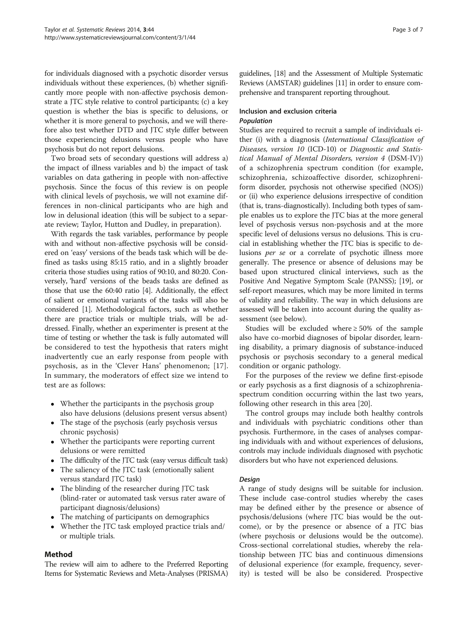for individuals diagnosed with a psychotic disorder versus individuals without these experiences, (b) whether significantly more people with non-affective psychosis demonstrate a JTC style relative to control participants; (c) a key question is whether the bias is specific to delusions, or whether it is more general to psychosis, and we will therefore also test whether DTD and JTC style differ between those experiencing delusions versus people who have psychosis but do not report delusions.

Two broad sets of secondary questions will address a) the impact of illness variables and b) the impact of task variables on data gathering in people with non-affective psychosis. Since the focus of this review is on people with clinical levels of psychosis, we will not examine differences in non-clinical participants who are high and low in delusional ideation (this will be subject to a separate review; Taylor, Hutton and Dudley, in preparation).

With regards the task variables, performance by people with and without non-affective psychosis will be considered on 'easy' versions of the beads task which will be defined as tasks using 85:15 ratio, and in a slightly broader criteria those studies using ratios of 90:10, and 80:20. Conversely, 'hard' versions of the beads tasks are defined as those that use the 60:40 ratio [\[4](#page-6-0)]. Additionally, the effect of salient or emotional variants of the tasks will also be considered [[1](#page-6-0)]. Methodological factors, such as whether there are practice trials or multiple trials, will be addressed. Finally, whether an experimenter is present at the time of testing or whether the task is fully automated will be considered to test the hypothesis that raters might inadvertently cue an early response from people with psychosis, as in the 'Clever Hans' phenomenon; [[17](#page-6-0)]. In summary, the moderators of effect size we intend to test are as follows:

- Whether the participants in the psychosis group also have delusions (delusions present versus absent)
- The stage of the psychosis (early psychosis versus chronic psychosis)
- Whether the participants were reporting current delusions or were remitted
- The difficulty of the JTC task (easy versus difficult task)
- The saliency of the JTC task (emotionally salient versus standard JTC task)
- The blinding of the researcher during JTC task (blind-rater or automated task versus rater aware of participant diagnosis/delusions)
- The matching of participants on demographics
- Whether the JTC task employed practice trials and/ or multiple trials.

## Method

The review will aim to adhere to the Preferred Reporting Items for Systematic Reviews and Meta-Analyses (PRISMA)

guidelines, [[18](#page-6-0)] and the Assessment of Multiple Systematic Reviews (AMSTAR) guidelines [\[11](#page-6-0)] in order to ensure comprehensive and transparent reporting throughout.

## Inclusion and exclusion criteria Population

Studies are required to recruit a sample of individuals either (i) with a diagnosis (International Classification of Diseases, version 10 (ICD-10) or Diagnostic and Statistical Manual of Mental Disorders, version 4 (DSM-IV)) of a schizophrenia spectrum condition (for example, schizophrenia, schizoaffective disorder, schizophreniform disorder, psychosis not otherwise specified (NOS)) or (ii) who experience delusions irrespective of condition (that is, trans-diagnostically). Including both types of sample enables us to explore the JTC bias at the more general level of psychosis versus non-psychosis and at the more specific level of delusions versus no delusions. This is crucial in establishing whether the JTC bias is specific to delusions per se or a correlate of psychotic illness more generally. The presence or absence of delusions may be based upon structured clinical interviews, such as the Positive And Negative Symptom Scale (PANSS); [\[19\]](#page-6-0), or self-report measures, which may be more limited in terms of validity and reliability. The way in which delusions are assessed will be taken into account during the quality assessment (see below).

Studies will be excluded where  $\geq 50\%$  of the sample also have co-morbid diagnoses of bipolar disorder, learning disability, a primary diagnosis of substance-induced psychosis or psychosis secondary to a general medical condition or organic pathology.

For the purposes of the review we define first-episode or early psychosis as a first diagnosis of a schizophreniaspectrum condition occurring within the last two years, following other research in this area [[20\]](#page-6-0).

The control groups may include both healthy controls and individuals with psychiatric conditions other than psychosis. Furthermore, in the cases of analyses comparing individuals with and without experiences of delusions, controls may include individuals diagnosed with psychotic disorders but who have not experienced delusions.

## Design

A range of study designs will be suitable for inclusion. These include case-control studies whereby the cases may be defined either by the presence or absence of psychosis/delusions (where JTC bias would be the outcome), or by the presence or absence of a JTC bias (where psychosis or delusions would be the outcome). Cross-sectional correlational studies, whereby the relationship between JTC bias and continuous dimensions of delusional experience (for example, frequency, severity) is tested will be also be considered. Prospective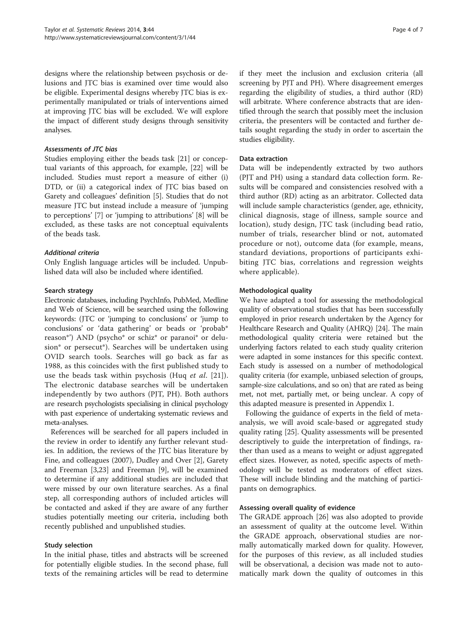designs where the relationship between psychosis or delusions and JTC bias is examined over time would also be eligible. Experimental designs whereby JTC bias is experimentally manipulated or trials of interventions aimed at improving JTC bias will be excluded. We will explore the impact of different study designs through sensitivity analyses.

#### Assessments of JTC bias

Studies employing either the beads task [\[21\]](#page-6-0) or conceptual variants of this approach, for example, [[22](#page-6-0)] will be included. Studies must report a measure of either (i) DTD, or (ii) a categorical index of JTC bias based on Garety and colleagues' definition [[5\]](#page-6-0). Studies that do not measure JTC but instead include a measure of 'jumping to perceptions' [\[7](#page-6-0)] or 'jumping to attributions' [\[8](#page-6-0)] will be excluded, as these tasks are not conceptual equivalents of the beads task.

## Additional criteria

Only English language articles will be included. Unpublished data will also be included where identified.

#### Search strategy

Electronic databases, including PsychInfo, PubMed, Medline and Web of Science, will be searched using the following keywords: (JTC or 'jumping to conclusions' or 'jump to conclusions' or 'data gathering' or beads or 'probab\* reason\*') AND (psycho\* or schiz\* or paranoi\* or delusion\* or persecut\*). Searches will be undertaken using OVID search tools. Searches will go back as far as 1988, as this coincides with the first published study to use the beads task within psychosis (Huq et al. [[21\]](#page-6-0)). The electronic database searches will be undertaken independently by two authors (PJT, PH). Both authors are research psychologists specialising in clinical psychology with past experience of undertaking systematic reviews and meta-analyses.

References will be searched for all papers included in the review in order to identify any further relevant studies. In addition, the reviews of the JTC bias literature by Fine, and colleagues (2007), Dudley and Over [[2\]](#page-6-0), Garety and Freeman [[3,23](#page-6-0)] and Freeman [[9\]](#page-6-0), will be examined to determine if any additional studies are included that were missed by our own literature searches. As a final step, all corresponding authors of included articles will be contacted and asked if they are aware of any further studies potentially meeting our criteria, including both recently published and unpublished studies.

## Study selection

In the initial phase, titles and abstracts will be screened for potentially eligible studies. In the second phase, full texts of the remaining articles will be read to determine if they meet the inclusion and exclusion criteria (all screening by PJT and PH). Where disagreement emerges regarding the eligibility of studies, a third author (RD) will arbitrate. Where conference abstracts that are identified through the search that possibly meet the inclusion criteria, the presenters will be contacted and further details sought regarding the study in order to ascertain the studies eligibility.

#### Data extraction

Data will be independently extracted by two authors (PJT and PH) using a standard data collection form. Results will be compared and consistencies resolved with a third author (RD) acting as an arbitrator. Collected data will include sample characteristics (gender, age, ethnicity, clinical diagnosis, stage of illness, sample source and location), study design, JTC task (including bead ratio, number of trials, researcher blind or not, automated procedure or not), outcome data (for example, means, standard deviations, proportions of participants exhibiting JTC bias, correlations and regression weights where applicable).

#### Methodological quality

We have adapted a tool for assessing the methodological quality of observational studies that has been successfully employed in prior research undertaken by the Agency for Healthcare Research and Quality (AHRQ) [\[24\]](#page-6-0). The main methodological quality criteria were retained but the underlying factors related to each study quality criterion were adapted in some instances for this specific context. Each study is assessed on a number of methodological quality criteria (for example, unbiased selection of groups, sample-size calculations, and so on) that are rated as being met, not met, partially met, or being unclear. A copy of this adapted measure is presented in [Appendix 1](#page-4-0).

Following the guidance of experts in the field of metaanalysis, we will avoid scale-based or aggregated study quality rating [\[25](#page-6-0)]. Quality assessments will be presented descriptively to guide the interpretation of findings, rather than used as a means to weight or adjust aggregated effect sizes. However, as noted, specific aspects of methodology will be tested as moderators of effect sizes. These will include blinding and the matching of participants on demographics.

#### Assessing overall quality of evidence

The GRADE approach [[26](#page-6-0)] was also adopted to provide an assessment of quality at the outcome level. Within the GRADE approach, observational studies are normally automatically marked down for quality. However, for the purposes of this review, as all included studies will be observational, a decision was made not to automatically mark down the quality of outcomes in this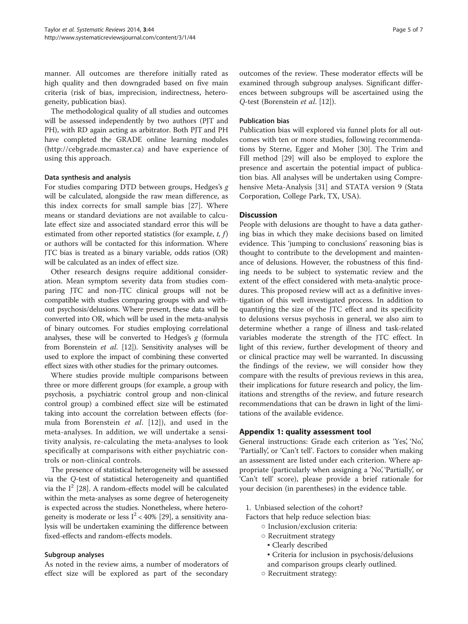<span id="page-4-0"></span>manner. All outcomes are therefore initially rated as high quality and then downgraded based on five main criteria (risk of bias, imprecision, indirectness, heterogeneity, publication bias).

The methodological quality of all studies and outcomes will be assessed independently by two authors (PJT and PH), with RD again acting as arbitrator. Both PJT and PH have completed the GRADE online learning modules ([http://cebgrade.mcmaster.ca\)](http://cebgrade.mcmaster.ca) and have experience of using this approach.

#### Data synthesis and analysis

For studies comparing DTD between groups, Hedges's g will be calculated, alongside the raw mean difference, as this index corrects for small sample bias [[27\]](#page-6-0). Where means or standard deviations are not available to calculate effect size and associated standard error this will be estimated from other reported statistics (for example,  $t, f$ ) or authors will be contacted for this information. Where JTC bias is treated as a binary variable, odds ratios (OR) will be calculated as an index of effect size.

Other research designs require additional consideration. Mean symptom severity data from studies comparing JTC and non-JTC clinical groups will not be compatible with studies comparing groups with and without psychosis/delusions. Where present, these data will be converted into OR, which will be used in the meta-analysis of binary outcomes. For studies employing correlational analyses, these will be converted to Hedges's  $g$  (formula from Borenstein et al. [\[12](#page-6-0)]). Sensitivity analyses will be used to explore the impact of combining these converted effect sizes with other studies for the primary outcomes.

Where studies provide multiple comparisons between three or more different groups (for example, a group with psychosis, a psychiatric control group and non-clinical control group) a combined effect size will be estimated taking into account the correlation between effects (for-mula from Borenstein et al. [[12\]](#page-6-0)), and used in the meta-analyses. In addition, we will undertake a sensitivity analysis, re-calculating the meta-analyses to look specifically at comparisons with either psychiatric controls or non-clinical controls.

The presence of statistical heterogeneity will be assessed via the Q-test of statistical heterogeneity and quantified via the  $I^2$  [\[28\]](#page-6-0). A random-effects model will be calculated within the meta-analyses as some degree of heterogeneity is expected across the studies. Nonetheless, where heterogeneity is moderate or less  $I^2$  < 40% [\[29](#page-6-0)], a sensitivity analysis will be undertaken examining the difference between fixed-effects and random-effects models.

## Subgroup analyses

As noted in the review aims, a number of moderators of effect size will be explored as part of the secondary

outcomes of the review. These moderator effects will be examined through subgroup analyses. Significant differences between subgroups will be ascertained using the Q-test (Borenstein et al. [\[12](#page-6-0)]).

#### Publication bias

Publication bias will explored via funnel plots for all outcomes with ten or more studies, following recommendations by Sterne, Egger and Moher [\[30](#page-6-0)]. The Trim and Fill method [[29](#page-6-0)] will also be employed to explore the presence and ascertain the potential impact of publication bias. All analyses will be undertaken using Comprehensive Meta-Analysis [\[31](#page-6-0)] and STATA version 9 (Stata Corporation, College Park, TX, USA).

## **Discussion**

People with delusions are thought to have a data gathering bias in which they make decisions based on limited evidence. This 'jumping to conclusions' reasoning bias is thought to contribute to the development and maintenance of delusions. However, the robustness of this finding needs to be subject to systematic review and the extent of the effect considered with meta-analytic procedures. This proposed review will act as a definitive investigation of this well investigated process. In addition to quantifying the size of the JTC effect and its specificity to delusions versus psychosis in general, we also aim to determine whether a range of illness and task-related variables moderate the strength of the JTC effect. In light of this review, further development of theory and or clinical practice may well be warranted. In discussing the findings of the review, we will consider how they compare with the results of previous reviews in this area, their implications for future research and policy, the limitations and strengths of the review, and future research recommendations that can be drawn in light of the limitations of the available evidence.

## Appendix 1: quality assessment tool

General instructions: Grade each criterion as 'Yes', 'No', 'Partially', or 'Can't tell'. Factors to consider when making an assessment are listed under each criterion. Where appropriate (particularly when assigning a 'No', 'Partially', or 'Can't tell' score), please provide a brief rationale for your decision (in parentheses) in the evidence table.

1. Unbiased selection of the cohort?

- Factors that help reduce selection bias:
	- Inclusion/exclusion criteria:
	- Recruitment strategy
		- Clearly described
	- Criteria for inclusion in psychosis/delusions and comparison groups clearly outlined.
	- Recruitment strategy: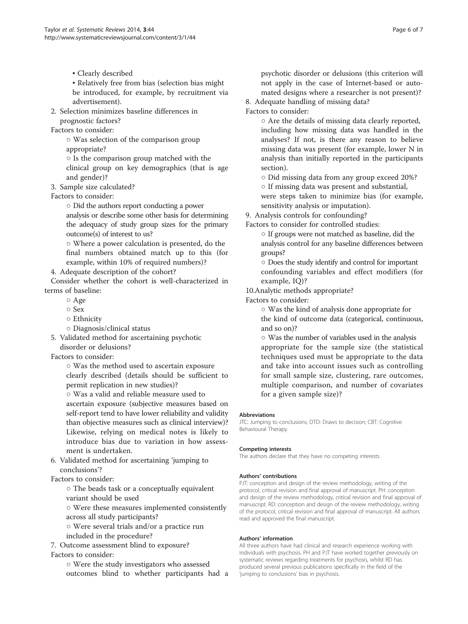- Clearly described
- Relatively free from bias (selection bias might be introduced, for example, by recruitment via advertisement).
- 2. Selection minimizes baseline differences in prognostic factors?
- Factors to consider:

○ Was selection of the comparison group appropriate?

○ Is the comparison group matched with the clinical group on key demographics (that is age and gender)?

- 3. Sample size calculated?
- Factors to consider:

○ Did the authors report conducting a power

analysis or describe some other basis for determining the adequacy of study group sizes for the primary outcome(s) of interest to us?

○ Where a power calculation is presented, do the final numbers obtained match up to this (for example, within 10% of required numbers)?

4. Adequate description of the cohort?

Consider whether the cohort is well-characterized in terms of baseline:

- Age
- Sex
- Ethnicity
- Diagnosis/clinical status

5. Validated method for ascertaining psychotic disorder or delusions?

Factors to consider:

○ Was the method used to ascertain exposure clearly described (details should be sufficient to permit replication in new studies)?

○ Was a valid and reliable measure used to ascertain exposure (subjective measures based on self-report tend to have lower reliability and validity than objective measures such as clinical interview)? Likewise, relying on medical notes is likely to introduce bias due to variation in how assessment is undertaken.

- 6. Validated method for ascertaining 'jumping to conclusions'?
- Factors to consider:

○ The beads task or a conceptually equivalent variant should be used

○ Were these measures implemented consistently across all study participants?

○ Were several trials and/or a practice run

included in the procedure? 7. Outcome assessment blind to exposure?

Factors to consider:

 $\circ$  Were the study investigators who assessed outcomes blind to whether participants had a psychotic disorder or delusions (this criterion will not apply in the case of Internet-based or automated designs where a researcher is not present)?

8. Adequate handling of missing data?

Factors to consider:

○ Are the details of missing data clearly reported, including how missing data was handled in the analyses? If not, is there any reason to believe missing data was present (for example, lower N in analysis than initially reported in the participants section).

○ Did missing data from any group exceed 20%?

○ If missing data was present and substantial,

were steps taken to minimize bias (for example, sensitivity analysis or imputation).

9. Analysis controls for confounding?

Factors to consider for controlled studies:

○ If groups were not matched as baseline, did the analysis control for any baseline differences between groups?

○ Does the study identify and control for important confounding variables and effect modifiers (for example, IQ)?

10.Analytic methods appropriate?

Factors to consider:

○ Was the kind of analysis done appropriate for the kind of outcome data (categorical, continuous, and so on)?

○ Was the number of variables used in the analysis appropriate for the sample size (the statistical techniques used must be appropriate to the data and take into account issues such as controlling for small sample size, clustering, rare outcomes, multiple comparison, and number of covariates for a given sample size)?

#### **Abbreviations**

JTC: Jumping to conclusions; DTD: Draws to decision; CBT: Cognitive Behavioural Therapy.

#### Competing interests

The authors declare that they have no competing interests.

#### Authors' contributions

PJT: conception and design of the review methodology, writing of the protocol, critical revision and final approval of manuscript. PH: conception and design of the review methodology, critical revision and final approval of manuscript. RD: conception and design of the review methodology, writing of the protocol, critical revision and final approval of manuscript. All authors read and approved the final manuscript.

#### Authors' information

All three authors have had clinical and research experience working with individuals with psychosis. PH and PJT have worked together previously on systematic reviews regarding treatments for psychosis, whilst RD has produced several previous publications specifically in the field of the 'jumping to conclusions' bias in psychosis.